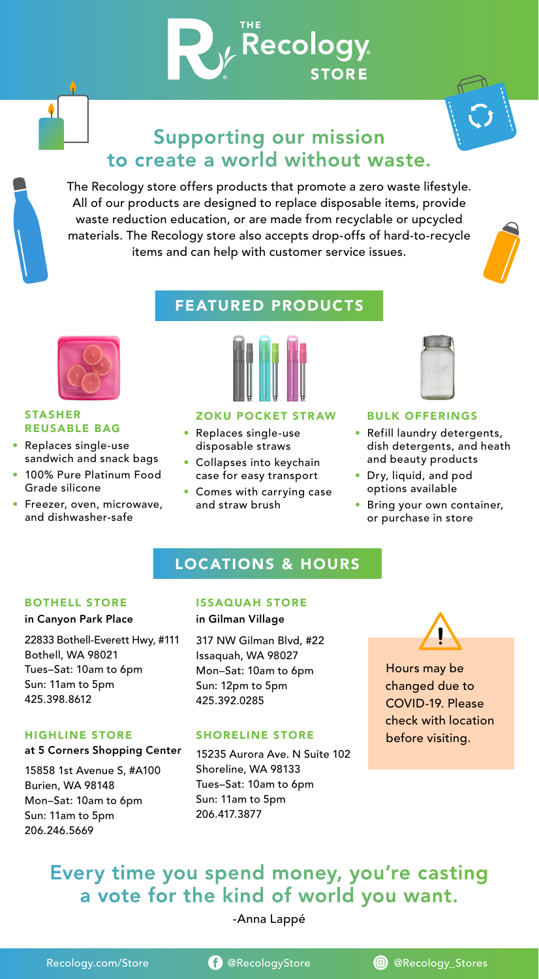# Supporting our mission to create a world without waste.

 $\bm{V}_\text{v}$  Recology

**STORE** 

The Recology store offers products that promote a zero waste lifestyle. All of our products are designed to replace disposable items, provide waste reduction education, or are made from recyclable or upcycled materials. The Recology store also accepts drop-offs of hard-to-recycle items and can help with customer service issues.



# FEATURED PRODUCTS



### STASHER REUSABLE BAG

٠

- Replaces single-use sandwich and snack bags
- 100% Pure Platinum Food Grade silicone
- Freezer, oven, microwave, and dishwasher-safe



### ZOKU POCKET STRAW BULK OFFERINGS

- Replaces single-use disposable straws
- Collapses into keychain case for easy transport
- Comes with carrying case and straw brush



- Refill laundry detergents, dish detergents, and heath and beauty products
- Dry, liquid, and pod options available
- Bring your own container, or purchase in store

## LOCATIONS & HOURS

### in Canyon Park Place in Gilman Village

22833 Bothell-Everett Hwy, #111 Bothell, WA 98021 Tues–Sat: 10am to 6pm Sun: 11am to 5pm 425.398.8612

## at 5 Corners Shopping Center

15858 1st Avenue S, #A100 Burien, WA 98148 Mon–Sat: 10am to 6pm Sun: 11am to 5pm 206.246.5669

### BOTHELL STORE ISSAQUAH STORE

317 NW Gilman Blvd, #22 Issaquah, WA 98027 Mon–Sat: 10am to 6pm Sun: 12pm to 5pm 425.392.0285

### HIGHLINE STORE SHORELINE STORE

15235 Aurora Ave. N Suite 102 Shoreline, WA 98133 Tues–Sat: 10am to 6pm Sun: 11am to 5pm 206.417.3877



## Hours may be changed due to COVID-19. Please check with location before visiting.

# Every time you spend money, you're casting a vote for the kind of world you want.

## -Anna Lappé